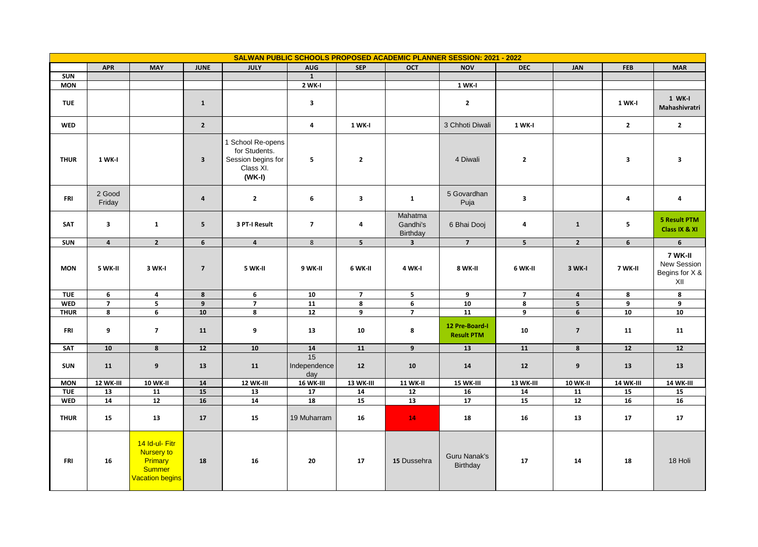|             | SALWAN PUBLIC SCHOOLS PROPOSED ACADEMIC PLANNER SESSION: 2021 - 2022 |                                                                                    |                          |                                                                                 |                           |                          |                                 |                                     |                          |                 |                         |                                                 |
|-------------|----------------------------------------------------------------------|------------------------------------------------------------------------------------|--------------------------|---------------------------------------------------------------------------------|---------------------------|--------------------------|---------------------------------|-------------------------------------|--------------------------|-----------------|-------------------------|-------------------------------------------------|
|             | <b>APR</b>                                                           | <b>MAY</b>                                                                         | <b>JUNE</b>              | <b>JULY</b>                                                                     | <b>AUG</b>                | <b>SEP</b>               | <b>OCT</b>                      | <b>NOV</b>                          | <b>DEC</b>               | JAN             | <b>FEB</b>              | <b>MAR</b>                                      |
| <b>SUN</b>  |                                                                      |                                                                                    |                          |                                                                                 | $\mathbf{1}$              |                          |                                 |                                     |                          |                 |                         |                                                 |
| <b>MON</b>  |                                                                      |                                                                                    |                          |                                                                                 | 2 WK-I                    |                          |                                 | 1 WK-I                              |                          |                 |                         |                                                 |
| <b>TUE</b>  |                                                                      |                                                                                    | $\mathbf{1}$             |                                                                                 | 3                         |                          |                                 | $\mathbf{2}$                        |                          |                 | 1 WK-I                  | 1 WK-I<br>Mahashivratri                         |
| <b>WED</b>  |                                                                      |                                                                                    | $\overline{2}$           |                                                                                 | $\overline{4}$            | 1 WK-I                   |                                 | 3 Chhoti Diwali                     | <b>1 WK-I</b>            |                 | $\overline{2}$          | $\overline{2}$                                  |
| <b>THUR</b> | 1 WK-I                                                               |                                                                                    | $\overline{\mathbf{3}}$  | 1 School Re-opens<br>for Students.<br>Session begins for<br>Class XI.<br>(WK-I) | 5                         | $\overline{\mathbf{2}}$  |                                 | 4 Diwali                            | $\overline{\mathbf{2}}$  |                 | $\overline{\mathbf{3}}$ | $\overline{\mathbf{3}}$                         |
| FRI         | 2 Good<br>Friday                                                     |                                                                                    | $\boldsymbol{4}$         | $\overline{2}$                                                                  | 6                         | $\overline{\mathbf{3}}$  | $\mathbf{1}$                    | 5 Govardhan<br>Puja                 | 3                        |                 | 4                       | 4                                               |
| SAT         | $\overline{\mathbf{3}}$                                              | $\mathbf{1}$                                                                       | 5                        | 3 PT-I Result                                                                   | $\overline{\phantom{a}}$  | 4                        | Mahatma<br>Gandhi's<br>Birthday | 6 Bhai Dooj                         | 4                        | $\mathbf{1}$    | $\overline{\mathbf{5}}$ | <b>5 Result PTM</b><br>Class IX & XI            |
| <b>SUN</b>  | $\overline{4}$                                                       | $\overline{2}$                                                                     | 6                        | $\overline{4}$                                                                  | 8                         | 5                        | $\overline{\mathbf{3}}$         | $\overline{7}$                      | 5 <sup>1</sup>           | $2^{\circ}$     | 6                       | 6                                               |
| <b>MON</b>  | 5 WK-II                                                              | 3 WK-I                                                                             | $\overline{\phantom{a}}$ | 5 WK-II                                                                         | 9 WK-II                   | 6 WK-II                  | <b>4 WK-I</b>                   | 8 WK-II                             | 6 WK-II                  | 3 WK-I          | 7 WK-II                 | 7 WK-II<br>New Session<br>Begins for X &<br>XII |
| <b>TUE</b>  | 6                                                                    | 4                                                                                  | $\pmb{8}$                | 6                                                                               | 10                        | $\overline{\phantom{a}}$ | 5                               | 9                                   | $\overline{\phantom{a}}$ | 4               | 8                       | 8                                               |
| <b>WED</b>  | $\overline{7}$                                                       | 5                                                                                  | $\overline{9}$           | $\overline{\phantom{a}}$                                                        | 11                        | 8                        | 6                               | 10                                  | 8                        | 5               | 9                       | 9                                               |
| <b>THUR</b> | 8                                                                    | 6                                                                                  | 10                       | 8                                                                               | $\overline{12}$           | 9                        | $\overline{7}$                  | $\overline{11}$                     | 9                        | $6\overline{6}$ | 10                      | 10                                              |
| FRI         | 9                                                                    | $\overline{7}$                                                                     | 11                       | 9                                                                               | 13                        | 10                       | 8                               | 12 Pre-Board-I<br><b>Result PTM</b> | 10                       | $\overline{7}$  | 11                      | 11                                              |
| SAT         | 10                                                                   | 8                                                                                  | $12$                     | 10                                                                              | 14                        | 11                       | 9                               | 13                                  | 11                       | 8               | 12                      | $12$                                            |
| <b>SUN</b>  | 11                                                                   | 9                                                                                  | 13                       | 11                                                                              | 15<br>Independence<br>day | 12                       | 10                              | 14                                  | 12                       | 9               | 13                      | 13                                              |
| <b>MON</b>  | <b>12 WK-III</b>                                                     | <b>10 WK-II</b>                                                                    | $\overline{\mathbf{14}}$ | 12 WK-III                                                                       | <b>16 WK-III</b>          | <b>13 WK-III</b>         | <b>11 WK-II</b>                 | <b>15 WK-III</b>                    | <b>13 WK-III</b>         | <b>10 WK-II</b> | <b>14 WK-III</b>        | <b>14 WK-III</b>                                |
| <b>TUE</b>  | 13                                                                   | 11                                                                                 | 15                       | 13                                                                              | 17                        | 14                       | $12$                            | 16                                  | 14                       | 11              | 15                      | 15                                              |
| <b>WED</b>  | 14                                                                   | 12                                                                                 | 16                       | 14                                                                              | 18                        | 15                       | 13                              | 17                                  | 15                       | 12              | 16                      | 16                                              |
| <b>THUR</b> | 15                                                                   | 13                                                                                 | 17                       | 15                                                                              | 19 Muharram               | 16                       | 14                              | 18                                  | 16                       | 13              | 17                      | 17                                              |
| <b>FRI</b>  | 16                                                                   | 14 Id-ul- Fitr<br>Nursery to<br>Primary<br><b>Summer</b><br><b>Vacation begins</b> | 18                       | 16                                                                              | 20                        | 17                       | 15 Dussehra                     | Guru Nanak's<br>Birthday            | 17                       | 14              | 18                      | 18 Holi                                         |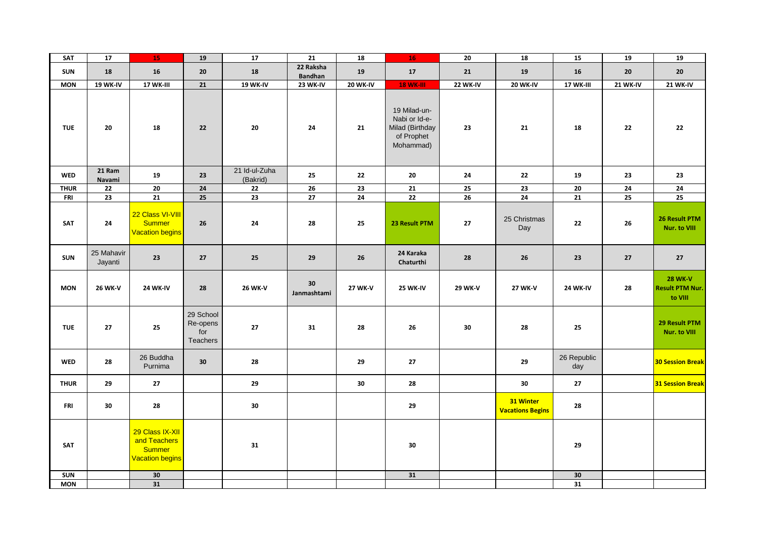| SAT         | 17                    | 15                                                                         | 19                                       | 17                        | $\overline{21}$             | 18              | 16                                                                          | 20              | 18                                   | 15                 | 19              | 19                                                  |
|-------------|-----------------------|----------------------------------------------------------------------------|------------------------------------------|---------------------------|-----------------------------|-----------------|-----------------------------------------------------------------------------|-----------------|--------------------------------------|--------------------|-----------------|-----------------------------------------------------|
| <b>SUN</b>  | 18                    | 16                                                                         | 20                                       | 18                        | 22 Raksha<br><b>Bandhan</b> | 19              | $17$                                                                        | 21              | 19                                   | 16                 | 20              | 20                                                  |
| <b>MON</b>  | <b>19 WK-IV</b>       | 17 WK-III                                                                  | 21                                       | <b>19 WK-IV</b>           | 23 WK-IV                    | <b>20 WK-IV</b> | <b>18 WK-III</b>                                                            | <b>22 WK-IV</b> | <b>20 WK-IV</b>                      | 17 WK-III          | <b>21 WK-IV</b> | <b>21 WK-IV</b>                                     |
| <b>TUE</b>  | 20                    | 18                                                                         | 22                                       | 20                        | 24                          | 21              | 19 Milad-un-<br>Nabi or Id-e-<br>Milad (Birthday<br>of Prophet<br>Mohammad) | 23              | 21                                   | 18                 | 22              | 22                                                  |
| <b>WED</b>  | 21 Ram<br>Navami      | 19                                                                         | 23                                       | 21 Id-ul-Zuha<br>(Bakrid) | 25                          | 22              | 20                                                                          | 24              | 22                                   | 19                 | 23              | 23                                                  |
| <b>THUR</b> | $\bf 22$              | 20                                                                         | ${\bf 24}$                               | 22                        | 26                          | 23              | ${\bf 21}$                                                                  | 25              | 23                                   | 20                 | ${\bf 24}$      | $\overline{24}$                                     |
| <b>FRI</b>  | 23                    | 21                                                                         | $\overline{25}$                          | $\overline{23}$           | 27                          | 24              | 22                                                                          | $\overline{26}$ | 24                                   | 21                 | 25              | $\overline{25}$                                     |
| SAT         | 24                    | 22 Class VI-VIII<br><b>Summer</b><br><b>Vacation begins</b>                | 26                                       | 24                        | 28                          | 25              | 23 Result PTM                                                               | 27              | 25 Christmas<br>Day                  | 22                 | 26              | 26 Result PTM<br>Nur. to VIII                       |
| <b>SUN</b>  | 25 Mahavir<br>Jayanti | 23                                                                         | 27                                       | 25                        | 29                          | 26              | 24 Karaka<br>Chaturthi                                                      | 28              | 26                                   | 23                 | 27              | 27                                                  |
| <b>MON</b>  | <b>26 WK-V</b>        | <b>24 WK-IV</b>                                                            | 28                                       | <b>26 WK-V</b>            | 30<br>Janmashtami           | <b>27 WK-V</b>  | <b>25 WK-IV</b>                                                             | <b>29 WK-V</b>  | <b>27 WK-V</b>                       | <b>24 WK-IV</b>    | 28              | <b>28 WK-V</b><br><b>Result PTM Nur.</b><br>to VIII |
| <b>TUE</b>  | 27                    | 25                                                                         | 29 School<br>Re-opens<br>for<br>Teachers | 27                        | 31                          | 28              | 26                                                                          | 30              | 28                                   | 25                 |                 | 29 Result PTM<br>Nur. to VIII                       |
| <b>WED</b>  | 28                    | 26 Buddha<br>Purnima                                                       | 30                                       | 28                        |                             | 29              | 27                                                                          |                 | 29                                   | 26 Republic<br>day |                 | <b>30 Session Break</b>                             |
| <b>THUR</b> | 29                    | 27                                                                         |                                          | 29                        |                             | 30              | 28                                                                          |                 | 30                                   | 27                 |                 | <b>31 Session Break</b>                             |
| <b>FRI</b>  | 30                    | 28                                                                         |                                          | 30                        |                             |                 | 29                                                                          |                 | 31 Winter<br><b>Vacations Begins</b> | 28                 |                 |                                                     |
| SAT         |                       | 29 Class IX-XII<br>and Teachers<br><b>Summer</b><br><b>Vacation begins</b> |                                          | 31                        |                             |                 | 30                                                                          |                 |                                      | 29                 |                 |                                                     |
| <b>SUN</b>  |                       | 30                                                                         |                                          |                           |                             |                 | 31                                                                          |                 |                                      | 30                 |                 |                                                     |
| <b>MON</b>  |                       | 31                                                                         |                                          |                           |                             |                 |                                                                             |                 |                                      | 31                 |                 |                                                     |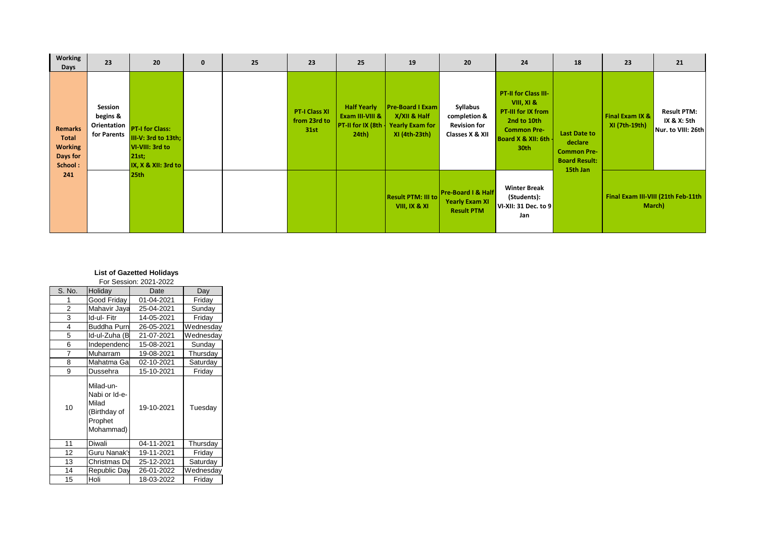| Working<br>Days                                                         | 23                                                         | 20                                                                                      | $\mathbf{0}$ | 25 | 23                                           | 25                                                                            | 19                                                                                 | 20                                                                 | 24                                                                                                                          | 18                                                                                       | 23                               | 21                                                      |
|-------------------------------------------------------------------------|------------------------------------------------------------|-----------------------------------------------------------------------------------------|--------------|----|----------------------------------------------|-------------------------------------------------------------------------------|------------------------------------------------------------------------------------|--------------------------------------------------------------------|-----------------------------------------------------------------------------------------------------------------------------|------------------------------------------------------------------------------------------|----------------------------------|---------------------------------------------------------|
| <b>Remarks</b><br><b>Total</b><br><b>Working</b><br>Days for<br>School: | Session<br>begins &<br>Orientation<br>for Parents<br>21st; | <b>PT-I for Class:</b><br>III-V: 3rd to 13th;<br>VI-VIII: 3rd to<br>IX, X & XII: 3rd to |              |    | <b>PT-I Class XI</b><br>from 23rd to<br>31st | <b>Half Yearly</b><br>Exam III-VIII &<br><b>PT-II for IX (8th</b><br>$24th$ ) | <b>Pre-Board I Exam</b><br>X/XII & Half<br><b>Yearly Exam for</b><br>XI (4th-23th) | Syllabus<br>completion &<br><b>Revision for</b><br>Classes X & XII | PT-II for Class III-<br>VIII, XI &<br>PT-III for IX from<br>2nd to 10th<br><b>Common Pre-</b><br>Board X & XII: 6th<br>30th | <b>Last Date to</b><br>declare<br><b>Common Pre-</b><br><b>Board Result:</b><br>15th Jan | Final Exam IX &<br>XI (7th-19th) | <b>Result PTM:</b><br>IX & X: 5th<br>Nur. to VIII: 26th |
| 241                                                                     |                                                            | 25th                                                                                    |              |    |                                              |                                                                               | <b>Result PTM: III to</b><br>VIII, IX & XI                                         | Pre-Board I & Half<br><b>Yearly Exam XI</b><br><b>Result PTM</b>   | <b>Winter Break</b><br>(Students):<br>VI-XII: 31 Dec. to 9<br>Jan                                                           |                                                                                          |                                  | Final Exam III-VIII (21th Feb-11th<br>March)            |

| <b>List of Gazetted Holidays</b> |  |
|----------------------------------|--|
|                                  |  |

| S. No.         | Holiday                                                                     | Date       | Day       |
|----------------|-----------------------------------------------------------------------------|------------|-----------|
| 1              | Good Friday                                                                 | 01-04-2021 | Friday    |
| $\overline{2}$ | Mahavir Jaya                                                                | 25-04-2021 | Sunday    |
| 3              | Id-ul- Fitr                                                                 | 14-05-2021 | Friday    |
| 4              | <b>Buddha Purn</b>                                                          | 26-05-2021 | Wednesday |
| 5              | Id-ul-Zuha (B                                                               | 21-07-2021 | Wednesday |
| 6              | Independenc                                                                 | 15-08-2021 | Sunday    |
| 7              | Muharram                                                                    | 19-08-2021 | Thursday  |
| 8              | Mahatma Ga                                                                  | 02-10-2021 | Saturday  |
| 9              | Dussehra                                                                    | 15-10-2021 | Friday    |
| 10             | Milad-un-<br>Nabi or Id-e-<br>Milad<br>(Birthday of<br>Prophet<br>Mohammad) | 19-10-2021 | Tuesday   |
| 11             | <b>Diwali</b>                                                               | 04-11-2021 | Thursday  |
| 12             | Guru Nanak's                                                                | 19-11-2021 | Friday    |
| 13             | Christmas Da                                                                | 25-12-2021 | Saturday  |
| 14             | Republic Day                                                                | 26-01-2022 | Wednesday |
| 15             | Holi                                                                        | 18-03-2022 | Friday    |